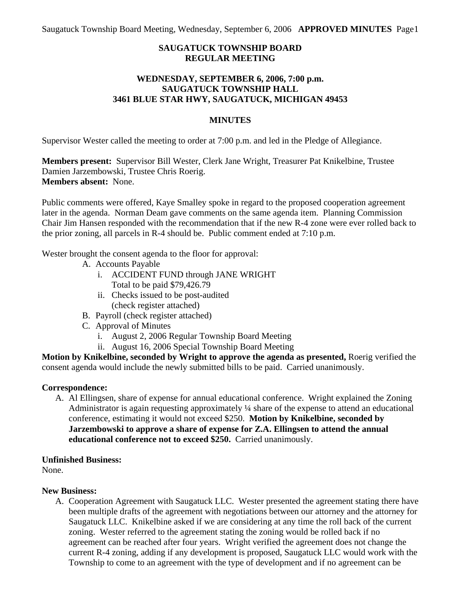Saugatuck Township Board Meeting, Wednesday, September 6, 2006 **APPROVED MINUTES** Page 1

# **SAUGATUCK TOWNSHIP BOARD REGULAR MEETING**

### **WEDNESDAY, SEPTEMBER 6, 2006, 7:00 p.m. SAUGATUCK TOWNSHIP HALL 3461 BLUE STAR HWY, SAUGATUCK, MICHIGAN 49453**

### **MINUTES**

Supervisor Wester called the meeting to order at 7:00 p.m. and led in the Pledge of Allegiance.

**Members present:** Supervisor Bill Wester, Clerk Jane Wright, Treasurer Pat Knikelbine, Trustee Damien Jarzembowski, Trustee Chris Roerig. **Members absent:** None.

Public comments were offered, Kaye Smalley spoke in regard to the proposed cooperation agreement later in the agenda. Norman Deam gave comments on the same agenda item. Planning Commission Chair Jim Hansen responded with the recommendation that if the new R-4 zone were ever rolled back to the prior zoning, all parcels in R-4 should be. Public comment ended at 7:10 p.m.

Wester brought the consent agenda to the floor for approval:

- A. Accounts Payable
	- i. ACCIDENT FUND through JANE WRIGHT Total to be paid \$79,426.79
	- ii. Checks issued to be post-audited (check register attached)
- B. Payroll (check register attached)
- C. Approval of Minutes
	- i. August 2, 2006 Regular Township Board Meeting
	- ii. August 16, 2006 Special Township Board Meeting

**Motion by Knikelbine, seconded by Wright to approve the agenda as presented,** Roerig verified the consent agenda would include the newly submitted bills to be paid. Carried unanimously.

#### **Correspondence:**

A. Al Ellingsen, share of expense for annual educational conference. Wright explained the Zoning Administrator is again requesting approximately ¼ share of the expense to attend an educational conference, estimating it would not exceed \$250. **Motion by Knikelbine, seconded by Jarzembowski to approve a share of expense for Z.A. Ellingsen to attend the annual educational conference not to exceed \$250.** Carried unanimously.

# **Unfinished Business:**

None.

# **New Business:**

A. Cooperation Agreement with Saugatuck LLC. Wester presented the agreement stating there have been multiple drafts of the agreement with negotiations between our attorney and the attorney for Saugatuck LLC. Knikelbine asked if we are considering at any time the roll back of the current zoning. Wester referred to the agreement stating the zoning would be rolled back if no agreement can be reached after four years. Wright verified the agreement does not change the current R-4 zoning, adding if any development is proposed, Saugatuck LLC would work with the Township to come to an agreement with the type of development and if no agreement can be